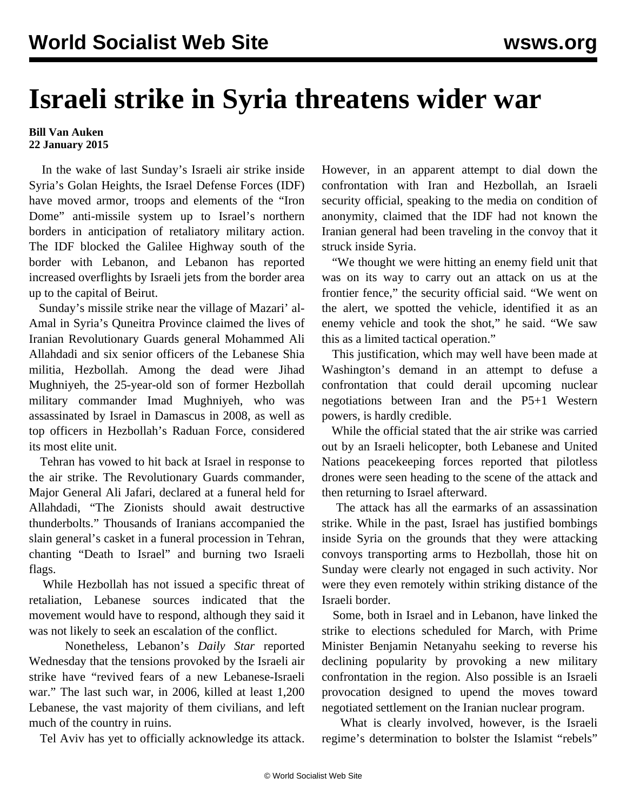## **Israeli strike in Syria threatens wider war**

## **Bill Van Auken 22 January 2015**

 In the wake of last Sunday's Israeli air strike inside Syria's Golan Heights, the Israel Defense Forces (IDF) have moved armor, troops and elements of the "Iron Dome" anti-missile system up to Israel's northern borders in anticipation of retaliatory military action. The IDF blocked the Galilee Highway south of the border with Lebanon, and Lebanon has reported increased overflights by Israeli jets from the border area up to the capital of Beirut.

 Sunday's missile strike near the village of Mazari' al-Amal in Syria's Quneitra Province claimed the lives of Iranian Revolutionary Guards general Mohammed Ali Allahdadi and six senior officers of the Lebanese Shia militia, Hezbollah. Among the dead were Jihad Mughniyeh, the 25-year-old son of former Hezbollah military commander Imad Mughniyeh, who was assassinated by Israel in Damascus in 2008, as well as top officers in Hezbollah's Raduan Force, considered its most elite unit.

 Tehran has vowed to hit back at Israel in response to the air strike. The Revolutionary Guards commander, Major General Ali Jafari, declared at a funeral held for Allahdadi, "The Zionists should await destructive thunderbolts." Thousands of Iranians accompanied the slain general's casket in a funeral procession in Tehran, chanting "Death to Israel" and burning two Israeli flags.

 While Hezbollah has not issued a specific threat of retaliation, Lebanese sources indicated that the movement would have to respond, although they said it was not likely to seek an escalation of the conflict.

 Nonetheless, Lebanon's *Daily Star* reported Wednesday that the tensions provoked by the Israeli air strike have "revived fears of a new Lebanese-Israeli war." The last such war, in 2006, killed at least 1,200 Lebanese, the vast majority of them civilians, and left much of the country in ruins.

Tel Aviv has yet to officially acknowledge its attack.

However, in an apparent attempt to dial down the confrontation with Iran and Hezbollah, an Israeli security official, speaking to the media on condition of anonymity, claimed that the IDF had not known the Iranian general had been traveling in the convoy that it struck inside Syria.

 "We thought we were hitting an enemy field unit that was on its way to carry out an attack on us at the frontier fence," the security official said. "We went on the alert, we spotted the vehicle, identified it as an enemy vehicle and took the shot," he said. "We saw this as a limited tactical operation."

 This justification, which may well have been made at Washington's demand in an attempt to defuse a confrontation that could derail upcoming nuclear negotiations between Iran and the P5+1 Western powers, is hardly credible.

 While the official stated that the air strike was carried out by an Israeli helicopter, both Lebanese and United Nations peacekeeping forces reported that pilotless drones were seen heading to the scene of the attack and then returning to Israel afterward.

 The attack has all the earmarks of an assassination strike. While in the past, Israel has justified bombings inside Syria on the grounds that they were attacking convoys transporting arms to Hezbollah, those hit on Sunday were clearly not engaged in such activity. Nor were they even remotely within striking distance of the Israeli border.

 Some, both in Israel and in Lebanon, have linked the strike to elections scheduled for March, with Prime Minister Benjamin Netanyahu seeking to reverse his declining popularity by provoking a new military confrontation in the region. Also possible is an Israeli provocation designed to upend the moves toward negotiated settlement on the Iranian nuclear program.

 What is clearly involved, however, is the Israeli regime's determination to bolster the Islamist "rebels"